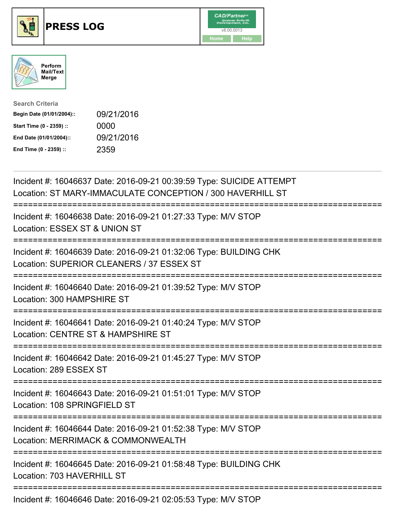





| <b>Search Criteria</b>    |            |
|---------------------------|------------|
| Begin Date (01/01/2004):: | 09/21/2016 |
| Start Time (0 - 2359) ::  | 0000       |
| End Date (01/01/2004)::   | 09/21/2016 |
| End Time (0 - 2359) ::    | 2359       |

| Incident #: 16046637 Date: 2016-09-21 00:39:59 Type: SUICIDE ATTEMPT<br>Location: ST MARY-IMMACULATE CONCEPTION / 300 HAVERHILL ST                   |
|------------------------------------------------------------------------------------------------------------------------------------------------------|
| Incident #: 16046638 Date: 2016-09-21 01:27:33 Type: M/V STOP<br>Location: ESSEX ST & UNION ST                                                       |
| Incident #: 16046639 Date: 2016-09-21 01:32:06 Type: BUILDING CHK<br>Location: SUPERIOR CLEANERS / 37 ESSEX ST<br>=================                  |
| Incident #: 16046640 Date: 2016-09-21 01:39:52 Type: M/V STOP<br>Location: 300 HAMPSHIRE ST<br>============                                          |
| Incident #: 16046641 Date: 2016-09-21 01:40:24 Type: M/V STOP<br>Location: CENTRE ST & HAMPSHIRE ST<br>.---------------------------<br>------------- |
| Incident #: 16046642 Date: 2016-09-21 01:45:27 Type: M/V STOP<br>Location: 289 ESSEX ST                                                              |
| Incident #: 16046643 Date: 2016-09-21 01:51:01 Type: M/V STOP<br>Location: 108 SPRINGFIELD ST                                                        |
| Incident #: 16046644 Date: 2016-09-21 01:52:38 Type: M/V STOP<br>Location: MERRIMACK & COMMONWEALTH                                                  |
| Incident #: 16046645 Date: 2016-09-21 01:58:48 Type: BUILDING CHK<br>Location: 703 HAVERHILL ST                                                      |
| Incident #: 16046646 Date: 2016-09-21 02:05:53 Type: M/V STOP                                                                                        |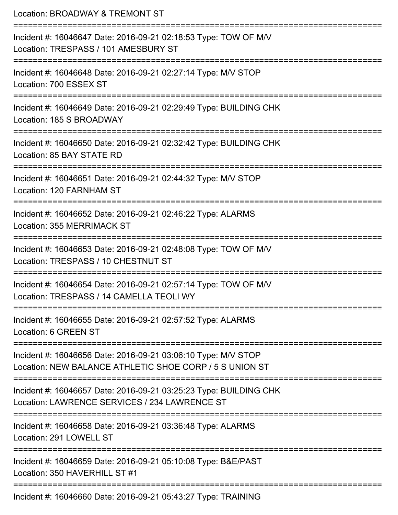| Location: BROADWAY & TREMONT ST                                                                                                    |
|------------------------------------------------------------------------------------------------------------------------------------|
| Incident #: 16046647 Date: 2016-09-21 02:18:53 Type: TOW OF M/V<br>Location: TRESPASS / 101 AMESBURY ST<br>:====================== |
| Incident #: 16046648 Date: 2016-09-21 02:27:14 Type: M/V STOP<br>Location: 700 ESSEX ST                                            |
| Incident #: 16046649 Date: 2016-09-21 02:29:49 Type: BUILDING CHK<br>Location: 185 S BROADWAY                                      |
| Incident #: 16046650 Date: 2016-09-21 02:32:42 Type: BUILDING CHK<br>Location: 85 BAY STATE RD                                     |
| Incident #: 16046651 Date: 2016-09-21 02:44:32 Type: M/V STOP<br>Location: 120 FARNHAM ST                                          |
| Incident #: 16046652 Date: 2016-09-21 02:46:22 Type: ALARMS<br>Location: 355 MERRIMACK ST                                          |
| Incident #: 16046653 Date: 2016-09-21 02:48:08 Type: TOW OF M/V<br>Location: TRESPASS / 10 CHESTNUT ST                             |
| Incident #: 16046654 Date: 2016-09-21 02:57:14 Type: TOW OF M/V<br>Location: TRESPASS / 14 CAMELLA TEOLI WY                        |
| Incident #: 16046655 Date: 2016-09-21 02:57:52 Type: ALARMS<br>Location: 6 GREEN ST                                                |
| Incident #: 16046656 Date: 2016-09-21 03:06:10 Type: M/V STOP<br>Location: NEW BALANCE ATHLETIC SHOE CORP / 5 S UNION ST           |
| Incident #: 16046657 Date: 2016-09-21 03:25:23 Type: BUILDING CHK<br>Location: LAWRENCE SERVICES / 234 LAWRENCE ST                 |
| Incident #: 16046658 Date: 2016-09-21 03:36:48 Type: ALARMS<br>Location: 291 LOWELL ST                                             |
| Incident #: 16046659 Date: 2016-09-21 05:10:08 Type: B&E/PAST<br>Location: 350 HAVERHILL ST #1                                     |
| Incident #: 16046660 Date: 2016-09-21 05:43:27 Type: TRAINING                                                                      |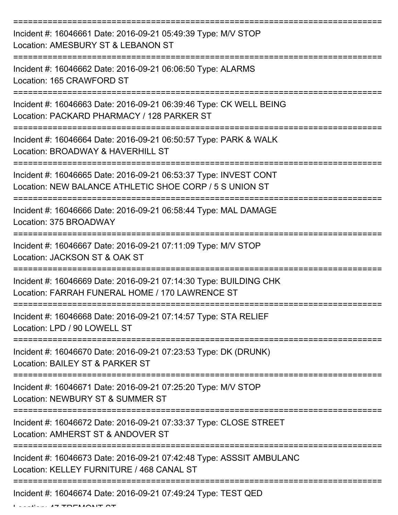| Incident #: 16046661 Date: 2016-09-21 05:49:39 Type: M/V STOP<br>Location: AMESBURY ST & LEBANON ST                         |
|-----------------------------------------------------------------------------------------------------------------------------|
| Incident #: 16046662 Date: 2016-09-21 06:06:50 Type: ALARMS<br>Location: 165 CRAWFORD ST                                    |
| Incident #: 16046663 Date: 2016-09-21 06:39:46 Type: CK WELL BEING<br>Location: PACKARD PHARMACY / 128 PARKER ST            |
| Incident #: 16046664 Date: 2016-09-21 06:50:57 Type: PARK & WALK<br>Location: BROADWAY & HAVERHILL ST                       |
| Incident #: 16046665 Date: 2016-09-21 06:53:37 Type: INVEST CONT<br>Location: NEW BALANCE ATHLETIC SHOE CORP / 5 S UNION ST |
| Incident #: 16046666 Date: 2016-09-21 06:58:44 Type: MAL DAMAGE<br>Location: 375 BROADWAY                                   |
| Incident #: 16046667 Date: 2016-09-21 07:11:09 Type: M/V STOP<br>Location: JACKSON ST & OAK ST                              |
| Incident #: 16046669 Date: 2016-09-21 07:14:30 Type: BUILDING CHK<br>Location: FARRAH FUNERAL HOME / 170 LAWRENCE ST        |
| Incident #: 16046668 Date: 2016-09-21 07:14:57 Type: STA RELIEF<br>Location: LPD / 90 LOWELL ST                             |
| Incident #: 16046670 Date: 2016-09-21 07:23:53 Type: DK (DRUNK)<br>Location: BAILEY ST & PARKER ST                          |
| Incident #: 16046671 Date: 2016-09-21 07:25:20 Type: M/V STOP<br>Location: NEWBURY ST & SUMMER ST                           |
| Incident #: 16046672 Date: 2016-09-21 07:33:37 Type: CLOSE STREET<br>Location: AMHERST ST & ANDOVER ST                      |
| Incident #: 16046673 Date: 2016-09-21 07:42:48 Type: ASSSIT AMBULANC<br>Location: KELLEY FURNITURE / 468 CANAL ST           |
| Incident #: 16046674 Date: 2016-09-21 07:49:24 Type: TEST QED                                                               |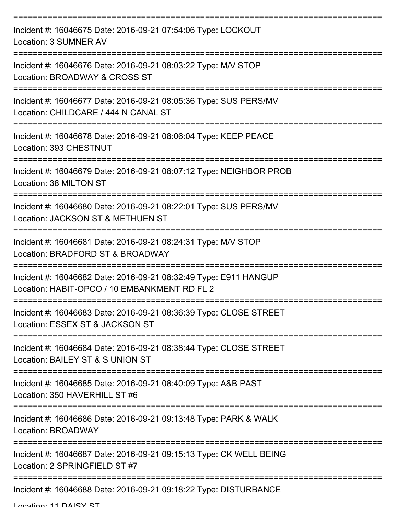| Incident #: 16046675 Date: 2016-09-21 07:54:06 Type: LOCKOUT<br>Location: 3 SUMNER AV<br>--------------          |
|------------------------------------------------------------------------------------------------------------------|
| Incident #: 16046676 Date: 2016-09-21 08:03:22 Type: M/V STOP<br>Location: BROADWAY & CROSS ST                   |
| Incident #: 16046677 Date: 2016-09-21 08:05:36 Type: SUS PERS/MV<br>Location: CHILDCARE / 444 N CANAL ST         |
| Incident #: 16046678 Date: 2016-09-21 08:06:04 Type: KEEP PEACE<br>Location: 393 CHESTNUT                        |
| Incident #: 16046679 Date: 2016-09-21 08:07:12 Type: NEIGHBOR PROB<br>Location: 38 MILTON ST                     |
| Incident #: 16046680 Date: 2016-09-21 08:22:01 Type: SUS PERS/MV<br>Location: JACKSON ST & METHUEN ST            |
| Incident #: 16046681 Date: 2016-09-21 08:24:31 Type: M/V STOP<br>Location: BRADFORD ST & BROADWAY                |
| Incident #: 16046682 Date: 2016-09-21 08:32:49 Type: E911 HANGUP<br>Location: HABIT-OPCO / 10 EMBANKMENT RD FL 2 |
| Incident #: 16046683 Date: 2016-09-21 08:36:39 Type: CLOSE STREET<br>Location: ESSEX ST & JACKSON ST             |
| Incident #: 16046684 Date: 2016-09-21 08:38:44 Type: CLOSE STREET<br>Location: BAILEY ST & S UNION ST            |
| Incident #: 16046685 Date: 2016-09-21 08:40:09 Type: A&B PAST<br>Location: 350 HAVERHILL ST #6                   |
| Incident #: 16046686 Date: 2016-09-21 09:13:48 Type: PARK & WALK<br>Location: BROADWAY                           |
| Incident #: 16046687 Date: 2016-09-21 09:15:13 Type: CK WELL BEING<br>Location: 2 SPRINGFIELD ST #7              |
| Incident #: 16046688 Date: 2016-09-21 09:18:22 Type: DISTURBANCE                                                 |

Location: 11 DAISY ST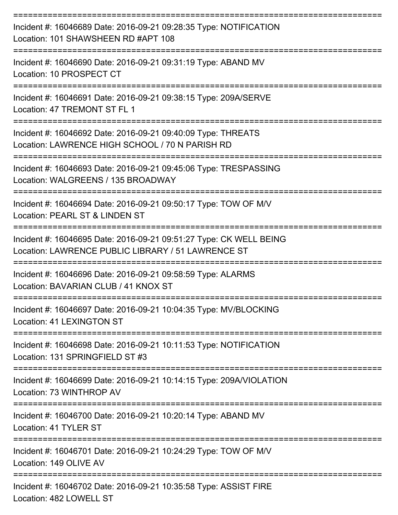| Incident #: 16046689 Date: 2016-09-21 09:28:35 Type: NOTIFICATION<br>Location: 101 SHAWSHEEN RD #APT 108                 |
|--------------------------------------------------------------------------------------------------------------------------|
| Incident #: 16046690 Date: 2016-09-21 09:31:19 Type: ABAND MV<br>Location: 10 PROSPECT CT                                |
| Incident #: 16046691 Date: 2016-09-21 09:38:15 Type: 209A/SERVE<br>Location: 47 TREMONT ST FL 1                          |
| Incident #: 16046692 Date: 2016-09-21 09:40:09 Type: THREATS<br>Location: LAWRENCE HIGH SCHOOL / 70 N PARISH RD          |
| Incident #: 16046693 Date: 2016-09-21 09:45:06 Type: TRESPASSING<br>Location: WALGREENS / 135 BROADWAY                   |
| Incident #: 16046694 Date: 2016-09-21 09:50:17 Type: TOW OF M/V<br>Location: PEARL ST & LINDEN ST                        |
| Incident #: 16046695 Date: 2016-09-21 09:51:27 Type: CK WELL BEING<br>Location: LAWRENCE PUBLIC LIBRARY / 51 LAWRENCE ST |
| Incident #: 16046696 Date: 2016-09-21 09:58:59 Type: ALARMS<br>Location: BAVARIAN CLUB / 41 KNOX ST                      |
| Incident #: 16046697 Date: 2016-09-21 10:04:35 Type: MV/BLOCKING<br>Location: 41 LEXINGTON ST                            |
| Incident #: 16046698 Date: 2016-09-21 10:11:53 Type: NOTIFICATION<br>Location: 131 SPRINGFIELD ST #3                     |
| Incident #: 16046699 Date: 2016-09-21 10:14:15 Type: 209A/VIOLATION<br>Location: 73 WINTHROP AV                          |
| Incident #: 16046700 Date: 2016-09-21 10:20:14 Type: ABAND MV<br>Location: 41 TYLER ST                                   |
| Incident #: 16046701 Date: 2016-09-21 10:24:29 Type: TOW OF M/V<br>Location: 149 OLIVE AV                                |
| Incident #: 16046702 Date: 2016-09-21 10:35:58 Type: ASSIST FIRE<br>Location: 482 LOWELL ST                              |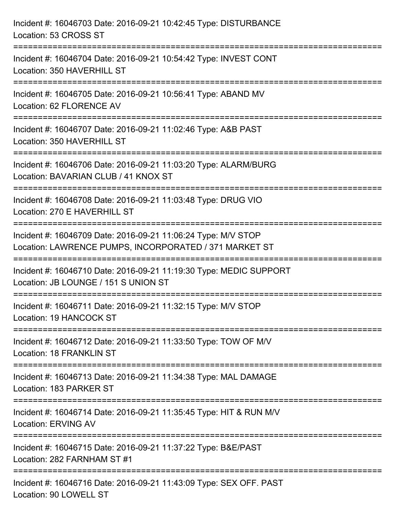| Incident #: 16046703 Date: 2016-09-21 10:42:45 Type: DISTURBANCE<br>Location: 53 CROSS ST                                     |
|-------------------------------------------------------------------------------------------------------------------------------|
| Incident #: 16046704 Date: 2016-09-21 10:54:42 Type: INVEST CONT<br>Location: 350 HAVERHILL ST                                |
| Incident #: 16046705 Date: 2016-09-21 10:56:41 Type: ABAND MV<br>Location: 62 FLORENCE AV<br>================================ |
| Incident #: 16046707 Date: 2016-09-21 11:02:46 Type: A&B PAST<br>Location: 350 HAVERHILL ST                                   |
| Incident #: 16046706 Date: 2016-09-21 11:03:20 Type: ALARM/BURG<br>Location: BAVARIAN CLUB / 41 KNOX ST                       |
| Incident #: 16046708 Date: 2016-09-21 11:03:48 Type: DRUG VIO<br>Location: 270 E HAVERHILL ST                                 |
| Incident #: 16046709 Date: 2016-09-21 11:06:24 Type: M/V STOP<br>Location: LAWRENCE PUMPS, INCORPORATED / 371 MARKET ST       |
| Incident #: 16046710 Date: 2016-09-21 11:19:30 Type: MEDIC SUPPORT<br>Location: JB LOUNGE / 151 S UNION ST                    |
| Incident #: 16046711 Date: 2016-09-21 11:32:15 Type: M/V STOP<br>Location: 19 HANCOCK ST                                      |
| Incident #: 16046712 Date: 2016-09-21 11:33:50 Type: TOW OF M/V<br><b>Location: 18 FRANKLIN ST</b>                            |
| Incident #: 16046713 Date: 2016-09-21 11:34:38 Type: MAL DAMAGE<br>Location: 183 PARKER ST                                    |
| Incident #: 16046714 Date: 2016-09-21 11:35:45 Type: HIT & RUN M/V<br><b>Location: ERVING AV</b>                              |
| Incident #: 16046715 Date: 2016-09-21 11:37:22 Type: B&E/PAST<br>Location: 282 FARNHAM ST #1                                  |
| Incident #: 16046716 Date: 2016-09-21 11:43:09 Type: SEX OFF. PAST<br>Location: 90 LOWELL ST                                  |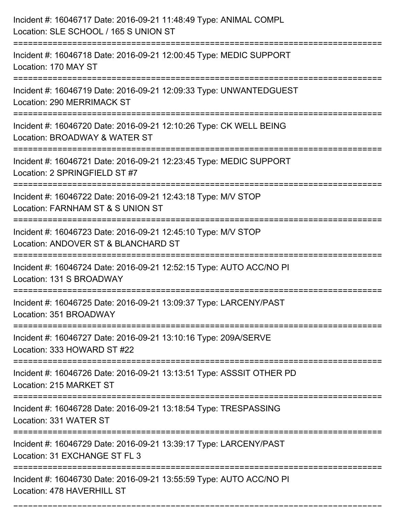| Incident #: 16046717 Date: 2016-09-21 11:48:49 Type: ANIMAL COMPL<br>Location: SLE SCHOOL / 165 S UNION ST<br>------------------------- |
|-----------------------------------------------------------------------------------------------------------------------------------------|
| Incident #: 16046718 Date: 2016-09-21 12:00:45 Type: MEDIC SUPPORT<br>Location: 170 MAY ST                                              |
| Incident #: 16046719 Date: 2016-09-21 12:09:33 Type: UNWANTEDGUEST<br>Location: 290 MERRIMACK ST<br>:==========================         |
| Incident #: 16046720 Date: 2016-09-21 12:10:26 Type: CK WELL BEING<br>Location: BROADWAY & WATER ST                                     |
| Incident #: 16046721 Date: 2016-09-21 12:23:45 Type: MEDIC SUPPORT<br>Location: 2 SPRINGFIELD ST #7                                     |
| Incident #: 16046722 Date: 2016-09-21 12:43:18 Type: M/V STOP<br>Location: FARNHAM ST & S UNION ST                                      |
| Incident #: 16046723 Date: 2016-09-21 12:45:10 Type: M/V STOP<br>Location: ANDOVER ST & BLANCHARD ST                                    |
| Incident #: 16046724 Date: 2016-09-21 12:52:15 Type: AUTO ACC/NO PI<br>Location: 131 S BROADWAY                                         |
| Incident #: 16046725 Date: 2016-09-21 13:09:37 Type: LARCENY/PAST<br>Location: 351 BROADWAY                                             |
| Incident #: 16046727 Date: 2016-09-21 13:10:16 Type: 209A/SERVE<br>Location: 333 HOWARD ST #22                                          |
| Incident #: 16046726 Date: 2016-09-21 13:13:51 Type: ASSSIT OTHER PD<br>Location: 215 MARKET ST                                         |
| Incident #: 16046728 Date: 2016-09-21 13:18:54 Type: TRESPASSING<br>Location: 331 WATER ST                                              |
| Incident #: 16046729 Date: 2016-09-21 13:39:17 Type: LARCENY/PAST<br>Location: 31 EXCHANGE ST FL 3                                      |
| Incident #: 16046730 Date: 2016-09-21 13:55:59 Type: AUTO ACC/NO PI<br>Location: 478 HAVERHILL ST                                       |

===========================================================================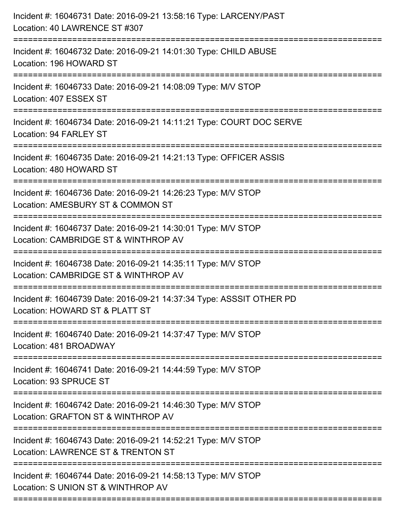| Incident #: 16046731 Date: 2016-09-21 13:58:16 Type: LARCENY/PAST<br>Location: 40 LAWRENCE ST #307                          |
|-----------------------------------------------------------------------------------------------------------------------------|
| Incident #: 16046732 Date: 2016-09-21 14:01:30 Type: CHILD ABUSE<br>Location: 196 HOWARD ST                                 |
| Incident #: 16046733 Date: 2016-09-21 14:08:09 Type: M/V STOP<br>Location: 407 ESSEX ST<br>:===================             |
| Incident #: 16046734 Date: 2016-09-21 14:11:21 Type: COURT DOC SERVE<br>Location: 94 FARLEY ST                              |
| Incident #: 16046735 Date: 2016-09-21 14:21:13 Type: OFFICER ASSIS<br>Location: 480 HOWARD ST                               |
| Incident #: 16046736 Date: 2016-09-21 14:26:23 Type: M/V STOP<br>Location: AMESBURY ST & COMMON ST                          |
| Incident #: 16046737 Date: 2016-09-21 14:30:01 Type: M/V STOP<br>Location: CAMBRIDGE ST & WINTHROP AV<br>================== |
| Incident #: 16046738 Date: 2016-09-21 14:35:11 Type: M/V STOP<br>Location: CAMBRIDGE ST & WINTHROP AV                       |
| Incident #: 16046739 Date: 2016-09-21 14:37:34 Type: ASSSIT OTHER PD<br>Location: HOWARD ST & PLATT ST                      |
| Incident #: 16046740 Date: 2016-09-21 14:37:47 Type: M/V STOP<br>Location: 481 BROADWAY                                     |
| Incident #: 16046741 Date: 2016-09-21 14:44:59 Type: M/V STOP<br>Location: 93 SPRUCE ST                                     |
| Incident #: 16046742 Date: 2016-09-21 14:46:30 Type: M/V STOP<br>Location: GRAFTON ST & WINTHROP AV                         |
| Incident #: 16046743 Date: 2016-09-21 14:52:21 Type: M/V STOP<br>Location: LAWRENCE ST & TRENTON ST                         |
| Incident #: 16046744 Date: 2016-09-21 14:58:13 Type: M/V STOP<br>Location: S UNION ST & WINTHROP AV                         |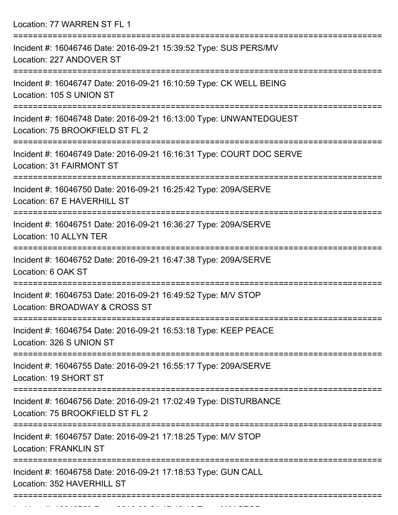Location: 77 WARREN ST FL 1

| Incident #: 16046746 Date: 2016-09-21 15:39:52 Type: SUS PERS/MV<br>Location: 227 ANDOVER ST                           |
|------------------------------------------------------------------------------------------------------------------------|
| Incident #: 16046747 Date: 2016-09-21 16:10:59 Type: CK WELL BEING<br>Location: 105 S UNION ST                         |
| Incident #: 16046748 Date: 2016-09-21 16:13:00 Type: UNWANTEDGUEST<br>Location: 75 BROOKFIELD ST FL 2                  |
| Incident #: 16046749 Date: 2016-09-21 16:16:31 Type: COURT DOC SERVE<br>Location: 31 FAIRMONT ST<br>================== |
| Incident #: 16046750 Date: 2016-09-21 16:25:42 Type: 209A/SERVE<br>Location: 67 E HAVERHILL ST                         |
| Incident #: 16046751 Date: 2016-09-21 16:36:27 Type: 209A/SERVE<br>Location: 10 ALLYN TER                              |
| Incident #: 16046752 Date: 2016-09-21 16:47:38 Type: 209A/SERVE<br>Location: 6 OAK ST                                  |
| Incident #: 16046753 Date: 2016-09-21 16:49:52 Type: M/V STOP<br>Location: BROADWAY & CROSS ST                         |
| Incident #: 16046754 Date: 2016-09-21 16:53:18 Type: KEEP PEACE<br>Location: 326 S UNION ST                            |
| Incident #: 16046755 Date: 2016-09-21 16:55:17 Type: 209A/SERVE<br>Location: 19 SHORT ST                               |
| Incident #: 16046756 Date: 2016-09-21 17:02:49 Type: DISTURBANCE<br>Location: 75 BROOKFIELD ST FL 2                    |
| Incident #: 16046757 Date: 2016-09-21 17:18:25 Type: M/V STOP<br><b>Location: FRANKLIN ST</b>                          |
| Incident #: 16046758 Date: 2016-09-21 17:18:53 Type: GUN CALL<br>Location: 352 HAVERHILL ST                            |
|                                                                                                                        |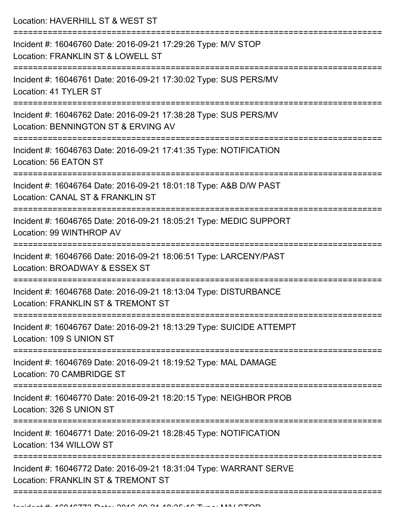Location: HAVERHILL ST & WEST ST

| Incident #: 16046760 Date: 2016-09-21 17:29:26 Type: M/V STOP<br>Location: FRANKLIN ST & LOWELL ST       |
|----------------------------------------------------------------------------------------------------------|
| Incident #: 16046761 Date: 2016-09-21 17:30:02 Type: SUS PERS/MV<br>Location: 41 TYLER ST                |
| Incident #: 16046762 Date: 2016-09-21 17:38:28 Type: SUS PERS/MV<br>Location: BENNINGTON ST & ERVING AV  |
| Incident #: 16046763 Date: 2016-09-21 17:41:35 Type: NOTIFICATION<br>Location: 56 EATON ST               |
| Incident #: 16046764 Date: 2016-09-21 18:01:18 Type: A&B D/W PAST<br>Location: CANAL ST & FRANKLIN ST    |
| Incident #: 16046765 Date: 2016-09-21 18:05:21 Type: MEDIC SUPPORT<br>Location: 99 WINTHROP AV           |
| Incident #: 16046766 Date: 2016-09-21 18:06:51 Type: LARCENY/PAST<br>Location: BROADWAY & ESSEX ST       |
| Incident #: 16046768 Date: 2016-09-21 18:13:04 Type: DISTURBANCE<br>Location: FRANKLIN ST & TREMONT ST   |
| Incident #: 16046767 Date: 2016-09-21 18:13:29 Type: SUICIDE ATTEMPT<br>Location: 109 S UNION ST         |
| Incident #: 16046769 Date: 2016-09-21 18:19:52 Type: MAL DAMAGE<br>Location: 70 CAMBRIDGE ST             |
| Incident #: 16046770 Date: 2016-09-21 18:20:15 Type: NEIGHBOR PROB<br>Location: 326 S UNION ST           |
| Incident #: 16046771 Date: 2016-09-21 18:28:45 Type: NOTIFICATION<br>Location: 134 WILLOW ST             |
| Incident #: 16046772 Date: 2016-09-21 18:31:04 Type: WARRANT SERVE<br>Location: FRANKLIN ST & TREMONT ST |
|                                                                                                          |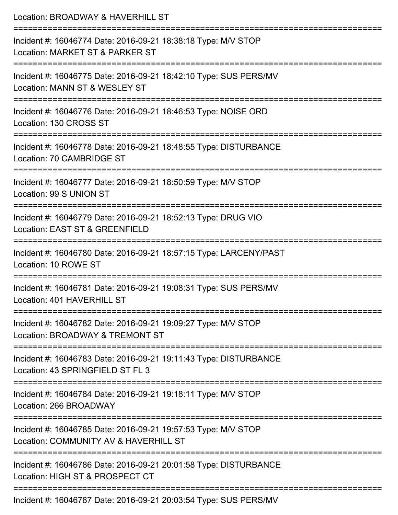| Location: BROADWAY & HAVERHILL ST                                                                                                 |
|-----------------------------------------------------------------------------------------------------------------------------------|
| Incident #: 16046774 Date: 2016-09-21 18:38:18 Type: M/V STOP<br>Location: MARKET ST & PARKER ST                                  |
| Incident #: 16046775 Date: 2016-09-21 18:42:10 Type: SUS PERS/MV<br>Location: MANN ST & WESLEY ST                                 |
| Incident #: 16046776 Date: 2016-09-21 18:46:53 Type: NOISE ORD<br>Location: 130 CROSS ST                                          |
| Incident #: 16046778 Date: 2016-09-21 18:48:55 Type: DISTURBANCE<br>Location: 70 CAMBRIDGE ST                                     |
| Incident #: 16046777 Date: 2016-09-21 18:50:59 Type: M/V STOP<br>Location: 99 S UNION ST                                          |
| Incident #: 16046779 Date: 2016-09-21 18:52:13 Type: DRUG VIO<br>Location: EAST ST & GREENFIELD                                   |
| Incident #: 16046780 Date: 2016-09-21 18:57:15 Type: LARCENY/PAST<br>Location: 10 ROWE ST                                         |
| Incident #: 16046781 Date: 2016-09-21 19:08:31 Type: SUS PERS/MV<br>Location: 401 HAVERHILL ST                                    |
| :============================<br>Incident #: 16046782 Date: 2016-09-21 19:09:27 Type: M/V STOP<br>Location: BROADWAY & TREMONT ST |
| Incident #: 16046783 Date: 2016-09-21 19:11:43 Type: DISTURBANCE<br>Location: 43 SPRINGFIELD ST FL 3                              |
| Incident #: 16046784 Date: 2016-09-21 19:18:11 Type: M/V STOP<br>Location: 266 BROADWAY                                           |
| Incident #: 16046785 Date: 2016-09-21 19:57:53 Type: M/V STOP<br>Location: COMMUNITY AV & HAVERHILL ST                            |
| Incident #: 16046786 Date: 2016-09-21 20:01:58 Type: DISTURBANCE<br>Location: HIGH ST & PROSPECT CT                               |
| Incident #: 16046787 Date: 2016-09-21 20:03:54 Type: SLIS PERS/MV                                                                 |

Incident #: 16046787 Date: 2016-09-21 20:03:54 Type: SUS PERS/MV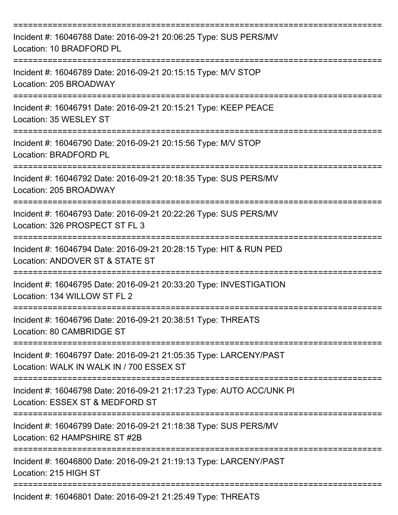| Incident #: 16046788 Date: 2016-09-21 20:06:25 Type: SUS PERS/MV<br>Location: 10 BRADFORD PL                  |
|---------------------------------------------------------------------------------------------------------------|
| Incident #: 16046789 Date: 2016-09-21 20:15:15 Type: M/V STOP<br>Location: 205 BROADWAY                       |
| Incident #: 16046791 Date: 2016-09-21 20:15:21 Type: KEEP PEACE<br>Location: 35 WESLEY ST                     |
| Incident #: 16046790 Date: 2016-09-21 20:15:56 Type: M/V STOP<br>Location: BRADFORD PL                        |
| Incident #: 16046792 Date: 2016-09-21 20:18:35 Type: SUS PERS/MV<br>Location: 205 BROADWAY                    |
| Incident #: 16046793 Date: 2016-09-21 20:22:26 Type: SUS PERS/MV<br>Location: 326 PROSPECT ST FL 3            |
| Incident #: 16046794 Date: 2016-09-21 20:28:15 Type: HIT & RUN PED<br>Location: ANDOVER ST & STATE ST         |
| Incident #: 16046795 Date: 2016-09-21 20:33:20 Type: INVESTIGATION<br>Location: 134 WILLOW ST FL 2            |
| Incident #: 16046796 Date: 2016-09-21 20:38:51 Type: THREATS<br>Location: 80 CAMBRIDGE ST                     |
| Incident #: 16046797 Date: 2016-09-21 21:05:35 Type: LARCENY/PAST<br>Location: WALK IN WALK IN / 700 ESSEX ST |
| Incident #: 16046798 Date: 2016-09-21 21:17:23 Type: AUTO ACC/UNK PI<br>Location: ESSEX ST & MEDFORD ST       |
| Incident #: 16046799 Date: 2016-09-21 21:18:38 Type: SUS PERS/MV<br>Location: 62 HAMPSHIRE ST #2B             |
| Incident #: 16046800 Date: 2016-09-21 21:19:13 Type: LARCENY/PAST<br>Location: 215 HIGH ST                    |
| Incident #: 16046801 Date: 2016-09-21 21:25:49 Type: THREATS                                                  |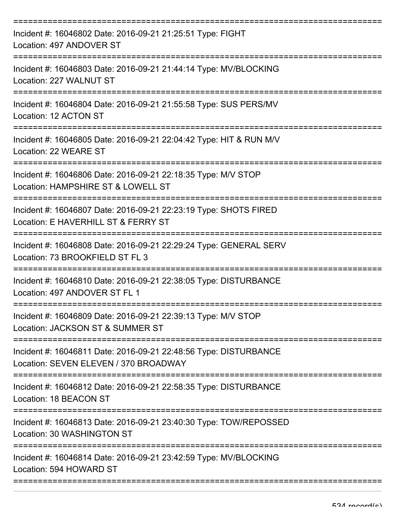| Incident #: 16046802 Date: 2016-09-21 21:25:51 Type: FIGHT<br>Location: 497 ANDOVER ST                                          |
|---------------------------------------------------------------------------------------------------------------------------------|
| Incident #: 16046803 Date: 2016-09-21 21:44:14 Type: MV/BLOCKING<br>Location: 227 WALNUT ST                                     |
| Incident #: 16046804 Date: 2016-09-21 21:55:58 Type: SUS PERS/MV<br>Location: 12 ACTON ST                                       |
| Incident #: 16046805 Date: 2016-09-21 22:04:42 Type: HIT & RUN M/V<br>Location: 22 WEARE ST                                     |
| Incident #: 16046806 Date: 2016-09-21 22:18:35 Type: M/V STOP<br>Location: HAMPSHIRE ST & LOWELL ST                             |
| ====================<br>Incident #: 16046807 Date: 2016-09-21 22:23:19 Type: SHOTS FIRED<br>Location: E HAVERHILL ST & FERRY ST |
| Incident #: 16046808 Date: 2016-09-21 22:29:24 Type: GENERAL SERV<br>Location: 73 BROOKFIELD ST FL 3                            |
| Incident #: 16046810 Date: 2016-09-21 22:38:05 Type: DISTURBANCE<br>Location: 497 ANDOVER ST FL 1                               |
| Incident #: 16046809 Date: 2016-09-21 22:39:13 Type: M/V STOP<br>Location: JACKSON ST & SUMMER ST                               |
| Incident #: 16046811 Date: 2016-09-21 22:48:56 Type: DISTURBANCE<br>Location: SEVEN ELEVEN / 370 BROADWAY                       |
| Incident #: 16046812 Date: 2016-09-21 22:58:35 Type: DISTURBANCE<br>Location: 18 BEACON ST                                      |
| Incident #: 16046813 Date: 2016-09-21 23:40:30 Type: TOW/REPOSSED<br>Location: 30 WASHINGTON ST                                 |
| Incident #: 16046814 Date: 2016-09-21 23:42:59 Type: MV/BLOCKING<br>Location: 594 HOWARD ST                                     |
|                                                                                                                                 |